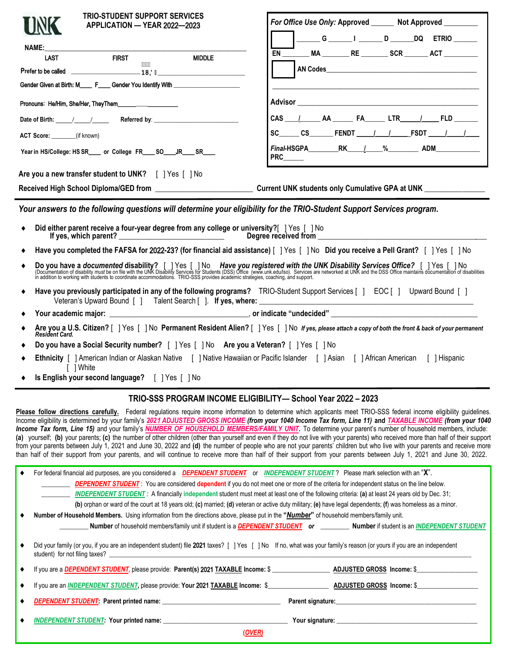| <b>TRIO-STUDENT SUPPORT SERVICES</b>                                                                                                                                                                                              | For Office Use Only: Approved _______ Not Approved _________  |  |  |  |  |  |  |  |
|-----------------------------------------------------------------------------------------------------------------------------------------------------------------------------------------------------------------------------------|---------------------------------------------------------------|--|--|--|--|--|--|--|
| APPLICATION - YEAR 2022-2023                                                                                                                                                                                                      | _______G _______ I _______ D _______ DQ ETRIO _______         |  |  |  |  |  |  |  |
|                                                                                                                                                                                                                                   | EN ________ MA ________ RE ________ SCR _______ ACT _________ |  |  |  |  |  |  |  |
| <b>MIDDLE</b>                                                                                                                                                                                                                     |                                                               |  |  |  |  |  |  |  |
|                                                                                                                                                                                                                                   |                                                               |  |  |  |  |  |  |  |
| Gender Given at Birth: M_____ F____ Gender You Identify With ___________________<br><u> 1990 - Jan James James, martin amerikan basar dan berasal dalam berasal dalam berasal dalam berasal dalam be</u>                          |                                                               |  |  |  |  |  |  |  |
| Pronouns: He/Him, She/Her, TheyThem                                                                                                                                                                                               |                                                               |  |  |  |  |  |  |  |
|                                                                                                                                                                                                                                   |                                                               |  |  |  |  |  |  |  |
| ACT Score: _______(if known)                                                                                                                                                                                                      |                                                               |  |  |  |  |  |  |  |
| Year in HS/College: HS SR____ or College FR____ SO____JR____ SR____                                                                                                                                                               | PRC_____                                                      |  |  |  |  |  |  |  |
| Are you a new transfer student to UNK?     Yes     No                                                                                                                                                                             |                                                               |  |  |  |  |  |  |  |
|                                                                                                                                                                                                                                   |                                                               |  |  |  |  |  |  |  |
| Your answers to the following questions will determine your eligibility for the TRIO-Student Support Services program.                                                                                                            |                                                               |  |  |  |  |  |  |  |
|                                                                                                                                                                                                                                   |                                                               |  |  |  |  |  |  |  |
| Have you completed the FAFSA for 2022-23? (for financial aid assistance) [ ] Yes [ ] No Did you receive a Pell Grant? [ ] Yes [ ] No                                                                                              |                                                               |  |  |  |  |  |  |  |
| Do you have a documented disability? [ ] Yes [ ] No Have you registered with the UNK Disability Services Office? [ ] Yes [ ] No<br>(Documentation of disability must be on file with the UNK Disability Services for Students (DS |                                                               |  |  |  |  |  |  |  |
| Have you previously participated in any of the following programs? TRIO-Student Support Services [ ] EOC [ ] Upward Bound [ ]                                                                                                     |                                                               |  |  |  |  |  |  |  |
|                                                                                                                                                                                                                                   |                                                               |  |  |  |  |  |  |  |
| A Arouau all S. Citizan 2 [ J Vos. [ J No. Dermanant Desident Alien 2 [ J Vos. [ J No. 16 use places ettech a sexualization front 8 heck of usua proposant                                                                        |                                                               |  |  |  |  |  |  |  |

- **Are you a U.S. Citizen?** [ ] Yes [ ] No **Permanent Resident Alien?** [ ] Yes [ ] No *If yes, please attach a copy of both the front & back of your permanent Resident Card.*
- **Do you have a Social Security number?** [ ] Yes [ ] No **Are you a Veteran?** [ ] Yes [ ] No
- **Ethnicity** [ ] American Indian or Alaskan Native [ ] Native Hawaiian or Pacific Islander [ ] Asian [ ] African American [ ] Hispanic [ ] White
- **Is English your second language?** [ ] Yes [ ] No

#### **TRIO-SSS PROGRAM INCOME ELIGIBILITY— School Year** 2022 **– 202**3

Please follow directions carefully. Federal regulations require income information to determine which applicants meet TRIO-SSS federal income eligibility guidelines. Income eligibility is determined by your family's *202*1 *ADJUSTED GROSS INCOME (from your 1040 Income Tax form, Line 11)* **and** *TAXABLE INCOME (from your 1040 Income Tax form, Line 15)* and your family's *NUMBER OF HOUSEHOLD MEMBERS/FAMILY UNIT.* To determine your parent's number of household members, include: (a) yourself; (b) your parents; (c) the number of other children (other than yourself and even if they do not live with your parents) who received more than half of their support from your parents between July 1, 2021 and June 30, 2022 and **(d)** the number of people who are not your parents' children but who live with your parents and receive more than half of their support from your parents, and will continue to receive more than half of their support from your parents between July 1, 2021 and June 30, 2022.

|                                                                                                                                                        | For federal financial aid purposes, are you considered a <b>DEPENDENT STUDENT</b> or INDEPENDENT STUDENT? Please mark selection with an "X".                                                                                                                                                                                                                                                                                                                        |  |  |  |  |  |  |  |
|--------------------------------------------------------------------------------------------------------------------------------------------------------|---------------------------------------------------------------------------------------------------------------------------------------------------------------------------------------------------------------------------------------------------------------------------------------------------------------------------------------------------------------------------------------------------------------------------------------------------------------------|--|--|--|--|--|--|--|
|                                                                                                                                                        | <b>DEPENDENT STUDENT</b> : You are considered dependent if you do not meet one or more of the criteria for independent status on the line below.                                                                                                                                                                                                                                                                                                                    |  |  |  |  |  |  |  |
| <b>INDEPENDENT STUDENT</b> : A financially independent student must meet at least one of the following criteria: (a) at least 24 years old by Dec. 31; |                                                                                                                                                                                                                                                                                                                                                                                                                                                                     |  |  |  |  |  |  |  |
|                                                                                                                                                        | (b) orphan or ward of the court at 18 years old; (c) married; (d) veteran or active duty military; (e) have legal dependents; (f) was homeless as a minor.                                                                                                                                                                                                                                                                                                          |  |  |  |  |  |  |  |
|                                                                                                                                                        | Number of Household Members. Using information from the directions above, please put in the "Number" of household members/family unit.                                                                                                                                                                                                                                                                                                                              |  |  |  |  |  |  |  |
|                                                                                                                                                        | Number of household members/family unit if student is a <b>DEPENDENT STUDENT</b> or Number if student is an <i>INDEPENDENT STUDENT</i>                                                                                                                                                                                                                                                                                                                              |  |  |  |  |  |  |  |
|                                                                                                                                                        | Did your family (or you, if you are an independent student) file 2021 taxes? [] Yes [] No If no, what was your family's reason (or yours if you are an independent<br>student) for not filing taxes?                                                                                                                                                                                                                                                                |  |  |  |  |  |  |  |
|                                                                                                                                                        | If you are a DEPENDENT STUDENT, please provide: Parent(s) 2021 TAXABLE Income: \$                                                                                                                                                                                                                                                                                                                                                                                   |  |  |  |  |  |  |  |
|                                                                                                                                                        |                                                                                                                                                                                                                                                                                                                                                                                                                                                                     |  |  |  |  |  |  |  |
|                                                                                                                                                        | Parent signature: experience and a series of the series of the series of the series of the series of the series                                                                                                                                                                                                                                                                                                                                                     |  |  |  |  |  |  |  |
|                                                                                                                                                        | INDEPENDENT STUDENT: Your printed name: Name and the contract of the contract of the contract of the contract of the contract of the contract of the contract of the contract of the contract of the contract of the contract<br><b>The Your signature:</b> The Second Second Second Second Second Second Second Second Second Second Second Second Second Second Second Second Second Second Second Second Second Second Second Second Second Second Second Second |  |  |  |  |  |  |  |
|                                                                                                                                                        | (OVER)                                                                                                                                                                                                                                                                                                                                                                                                                                                              |  |  |  |  |  |  |  |